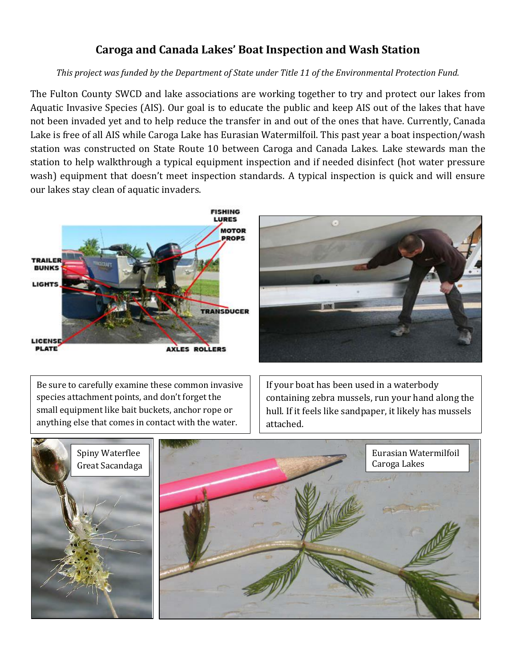## **Caroga and Canada Lakes' Boat Inspection and Wash Station**

## *This project was funded by the Department of State under Title 11 of the Environmental Protection Fund.*

The Fulton County SWCD and lake associations are working together to try and protect our lakes from Aquatic Invasive Species (AIS). Our goal is to educate the public and keep AIS out of the lakes that have not been invaded yet and to help reduce the transfer in and out of the ones that have. Currently, Canada Lake is free of all AIS while Caroga Lake has Eurasian Watermilfoil. This past year a boat inspection/wash station was constructed on State Route 10 between Caroga and Canada Lakes. Lake stewards man the station to help walkthrough a typical equipment inspection and if needed disinfect (hot water pressure wash) equipment that doesn't meet inspection standards. A typical inspection is quick and will ensure our lakes stay clean of aquatic invaders.



Be sure to carefully examine these common invasive species attachment points, and don't forget the small equipment like bait buckets, anchor rope or anything else that comes in contact with the water.

If your boat has been used in a waterbody containing zebra mussels, run your hand along the hull. If it feels like sandpaper, it likely has mussels attached.